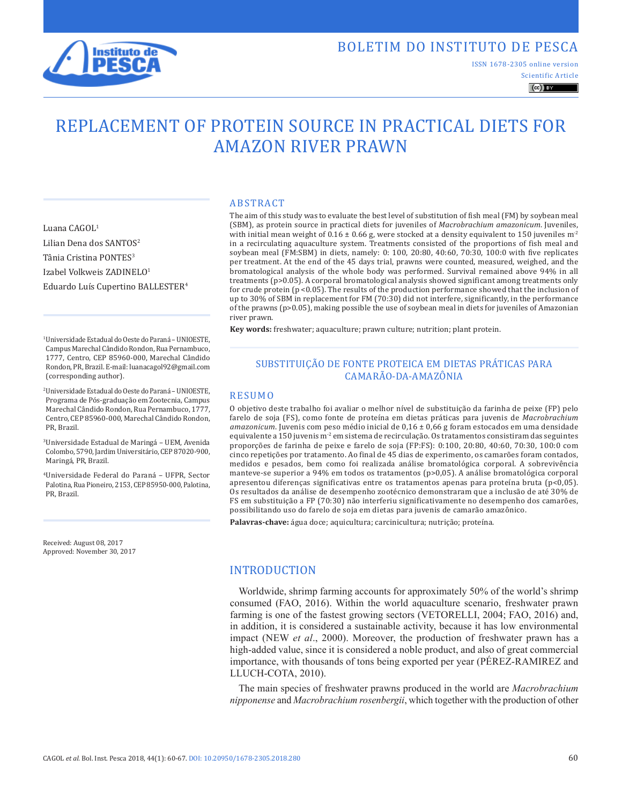

Luana CAGOL1

Lilian Dena dos SANTOS<sup>2</sup> Tânia Cristina PONTES<sup>3</sup> Izabel Volkweis ZADINELO1

(corresponding author).

## BOLETIM DO INSTITUTO DE PESCA

ISSN 1678-2305 online version

#### Scientific Article  $\left(\mathrm{cc}\right)$  BY

# REPLACEMENT OF PROTEIN SOURCE IN PRACTICAL DIETS FOR AMAZON RIVER PRAWN

ABSTRACT

The aim of this study was to evaluate the best level of substitution of fish meal (FM) by soybean meal (SBM), as protein source in practical diets for juveniles of *Macrobrachium amazonicum*. Juveniles, with initial mean weight of  $0.16 \pm 0.66$  g, were stocked at a density equivalent to 150 juveniles m<sup>-2</sup> in a recirculating aquaculture system. Treatments consisted of the proportions of fish meal and soybean meal (FM:SBM) in diets, namely: 0: 100, 20:80, 40:60, 70:30, 100:0 with five replicates per treatment. At the end of the 45 days trial, prawns were counted, measured, weighed, and the bromatological analysis of the whole body was performed. Survival remained above 94% in all treatments (p>0.05). A corporal bromatological analysis showed significant among treatments only for crude protein (p <0.05). The results of the production performance showed that the inclusion of up to 30% of SBM in replacement for FM (70:30) did not interfere, significantly, in the performance of the prawns (p>0.05), making possible the use of soybean meal in diets for juveniles of Amazonian river prawn.

**Key words:** freshwater; aquaculture; prawn culture; nutrition; plant protein.

#### SUBSTITUIÇÃO DE FONTE PROTEICA EM DIETAS PRÁTICAS PARA CAMARÃO-DA-AMAZÔNIA

#### RESUMO

O objetivo deste trabalho foi avaliar o melhor nível de substituição da farinha de peixe (FP) pelo farelo de soja (FS), como fonte de proteína em dietas práticas para juvenis de *Macrobrachium amazonicum*. Juvenis com peso médio inicial de 0,16 ± 0,66 g foram estocados em uma densidade equivalente a 150 juvenis m<sup>-2</sup> em sistema de recirculação. Os tratamentos consistiram das seguintes proporções de farinha de peixe e farelo de soja (FP:FS): 0:100, 20:80, 40:60, 70:30, 100:0 com cinco repetições por tratamento. Ao final de 45 dias de experimento, os camarões foram contados, medidos e pesados, bem como foi realizada análise bromatológica corporal. A sobrevivência manteve-se superior a 94% em todos os tratamentos (p>0,05). A análise bromatológica corporal apresentou diferenças significativas entre os tratamentos apenas para proteína bruta ( $p<0,05$ ). Os resultados da análise de desempenho zootécnico demonstraram que a inclusão de até 30% de FS em substituição a FP (70:30) não interferiu significativamente no desempenho dos camarões, possibilitando uso do farelo de soja em dietas para juvenis de camarão amazônico.

**Palavras-chave:** água doce; aquicultura; carcinicultura; nutrição; proteína.

#### INTRODUCTION

Worldwide, shrimp farming accounts for approximately 50% of the world's shrimp consumed (FAO, 2016). Within the world aquaculture scenario, freshwater prawn farming is one of the fastest growing sectors (VETORELLI, 2004; FAO, 2016) and, in addition, it is considered a sustainable activity, because it has low environmental impact (NEW *et al*., 2000). Moreover, the production of freshwater prawn has a high-added value, since it is considered a noble product, and also of great commercial importance, with thousands of tons being exported per year (PÉREZ-RAMIREZ and LLUCH-COTA, 2010).

The main species of freshwater prawns produced in the world are *Macrobrachium nipponense* and *Macrobrachium rosenbergii*, which together with the production of other

<sup>1</sup> Universidade Estadual do Oeste do Paraná - UNIOESTE, Campus Marechal Cândido Rondon, Rua Pernambuco, 1777, Centro, CEP 85960-000, Marechal Cândido Rondon, PR, Brazil. E-mail: luanacagol92@gmail.com

Eduardo Luís Cupertino BALLESTER4

2Universidade Estadual do Oeste do Paraná – UNIOESTE, Programa de Pós-graduação em Zootecnia, Campus Marechal Cândido Rondon, Rua Pernambuco, 1777, Centro, CEP 85960-000, Marechal Cândido Rondon, PR, Brazil.

3Universidade Estadual de Maringá – UEM, Avenida Colombo, 5790, Jardim Universitário, CEP 87020-900, Maringá, PR, Brazil.

4Universidade Federal do Paraná – UFPR, Sector Palotina, Rua Pioneiro, 2153, CEP 85950-000, Palotina, PR, Brazil.

Received: August 08, 2017 Approved: November 30, 2017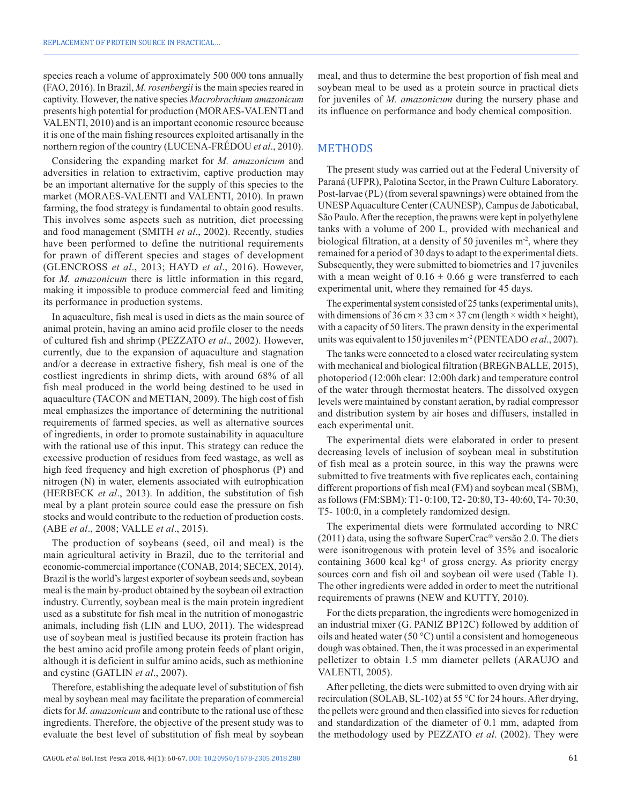species reach a volume of approximately 500 000 tons annually (FAO, 2016). In Brazil, *M. rosenbergii* is the main species reared in captivity. However, the native species *Macrobrachium amazonicum* presents high potential for production (MORAES-VALENTI and VALENTI, 2010) and is an important economic resource because it is one of the main fishing resources exploited artisanally in the northern region of the country (LUCENA-FRÉDOU *et al*., 2010).

Considering the expanding market for *M. amazonicum* and adversities in relation to extractivim, captive production may be an important alternative for the supply of this species to the market (MORAES-VALENTI and VALENTI, 2010). In prawn farming, the food strategy is fundamental to obtain good results. This involves some aspects such as nutrition, diet processing and food management (SMITH *et al*., 2002). Recently, studies have been performed to define the nutritional requirements for prawn of different species and stages of development (GLENCROSS *et al*., 2013; HAYD *et al*., 2016). However, for *M. amazonicum* there is little information in this regard, making it impossible to produce commercial feed and limiting its performance in production systems.

In aquaculture, fish meal is used in diets as the main source of animal protein, having an amino acid profile closer to the needs of cultured fish and shrimp (PEZZATO *et al*., 2002). However, currently, due to the expansion of aquaculture and stagnation and/or a decrease in extractive fishery, fish meal is one of the costliest ingredients in shrimp diets, with around 68% of all fish meal produced in the world being destined to be used in aquaculture (TACON and METIAN, 2009). The high cost of fish meal emphasizes the importance of determining the nutritional requirements of farmed species, as well as alternative sources of ingredients, in order to promote sustainability in aquaculture with the rational use of this input. This strategy can reduce the excessive production of residues from feed wastage, as well as high feed frequency and high excretion of phosphorus (P) and nitrogen (N) in water, elements associated with eutrophication (HERBECK *et al*., 2013). In addition, the substitution of fish meal by a plant protein source could ease the pressure on fish stocks and would contribute to the reduction of production costs. (ABE *et al*., 2008; VALLE *et al*., 2015).

The production of soybeans (seed, oil and meal) is the main agricultural activity in Brazil, due to the territorial and economic-commercial importance (CONAB, 2014; SECEX, 2014). Brazil is the world's largest exporter of soybean seeds and, soybean meal is the main by-product obtained by the soybean oil extraction industry. Currently, soybean meal is the main protein ingredient used as a substitute for fish meal in the nutrition of monogastric animals, including fish (LIN and LUO, 2011). The widespread use of soybean meal is justified because its protein fraction has the best amino acid profile among protein feeds of plant origin, although it is deficient in sulfur amino acids, such as methionine and cystine (GATLIN *et al*., 2007).

Therefore, establishing the adequate level of substitution of fish meal by soybean meal may facilitate the preparation of commercial diets for *M. amazonicum* and contribute to the rational use of these ingredients. Therefore, the objective of the present study was to evaluate the best level of substitution of fish meal by soybean

meal, and thus to determine the best proportion of fish meal and soybean meal to be used as a protein source in practical diets for juveniles of *M. amazonicum* during the nursery phase and its influence on performance and body chemical composition.

#### METHODS

The present study was carried out at the Federal University of Paraná (UFPR), Palotina Sector, in the Prawn Culture Laboratory. Post-larvae (PL) (from several spawnings) were obtained from the UNESP Aquaculture Center (CAUNESP), Campus de Jaboticabal, São Paulo. After the reception, the prawns were kept in polyethylene tanks with a volume of 200 L, provided with mechanical and biological filtration, at a density of 50 juveniles  $m<sup>2</sup>$ , where they remained for a period of 30 days to adapt to the experimental diets. Subsequently, they were submitted to biometrics and 17 juveniles with a mean weight of  $0.16 \pm 0.66$  g were transferred to each experimental unit, where they remained for 45 days.

The experimental system consisted of 25 tanks (experimental units), with dimensions of 36 cm  $\times$  33 cm  $\times$  37 cm (length  $\times$  width  $\times$  height), with a capacity of 50 liters. The prawn density in the experimental units was equivalent to 150 juveniles m-2 (PENTEADO *et al*., 2007).

The tanks were connected to a closed water recirculating system with mechanical and biological filtration (BREGNBALLE, 2015), photoperiod (12:00h clear: 12:00h dark) and temperature control of the water through thermostat heaters. The dissolved oxygen levels were maintained by constant aeration, by radial compressor and distribution system by air hoses and diffusers, installed in each experimental unit.

The experimental diets were elaborated in order to present decreasing levels of inclusion of soybean meal in substitution of fish meal as a protein source, in this way the prawns were submitted to five treatments with five replicates each, containing different proportions of fish meal (FM) and soybean meal (SBM), as follows (FM:SBM): T1- 0:100, T2- 20:80, T3- 40:60, T4- 70:30, T5- 100:0, in a completely randomized design.

The experimental diets were formulated according to NRC  $(2011)$  data, using the software SuperCrac<sup>®</sup> versão 2.0. The diets were isonitrogenous with protein level of 35% and isocaloric containing  $3600$  kcal kg<sup>-1</sup> of gross energy. As priority energy sources corn and fish oil and soybean oil were used (Table 1). The other ingredients were added in order to meet the nutritional requirements of prawns (NEW and KUTTY, 2010).

For the diets preparation, the ingredients were homogenized in an industrial mixer (G. PANIZ BP12C) followed by addition of oils and heated water (50 °C) until a consistent and homogeneous dough was obtained. Then, the it was processed in an experimental pelletizer to obtain 1.5 mm diameter pellets (ARAUJO and VALENTI, 2005).

After pelleting, the diets were submitted to oven drying with air recirculation (SOLAB, SL-102) at 55 °C for 24 hours. After drying, the pellets were ground and then classified into sieves for reduction and standardization of the diameter of 0.1 mm, adapted from the methodology used by PEZZATO *et al*. (2002). They were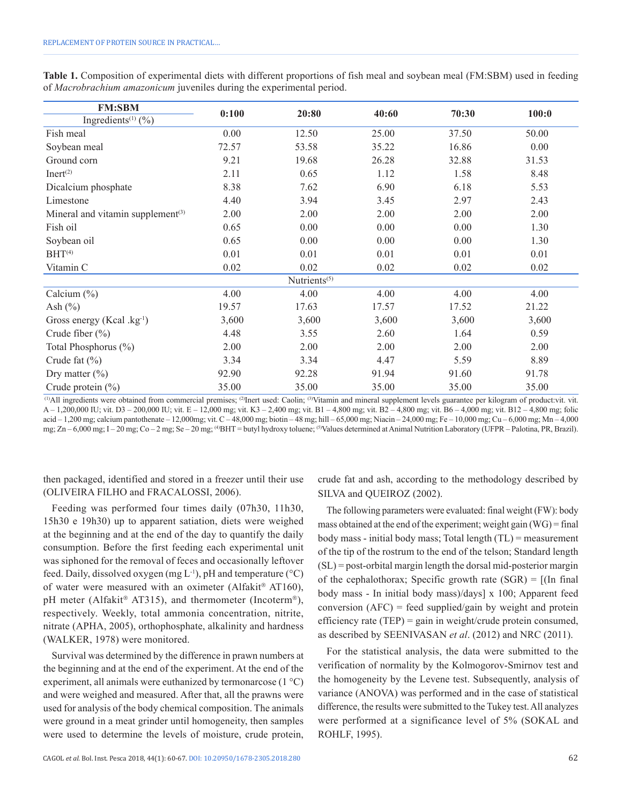|  |  |  |  |                                                                       |  |  | Table 1. Composition of experimental diets with different proportions of fish meal and soybean meal (FM:SBM) used in feeding |  |
|--|--|--|--|-----------------------------------------------------------------------|--|--|------------------------------------------------------------------------------------------------------------------------------|--|
|  |  |  |  | of Macrobrachium amazonicum juveniles during the experimental period. |  |  |                                                                                                                              |  |

| <b>FM:SBM</b>                                 | 0:100 | 20:80                    | 40:60 | 70:30 | 100:0 |  |
|-----------------------------------------------|-------|--------------------------|-------|-------|-------|--|
| Ingredients <sup><math>(1)</math></sup> (%)   |       |                          |       |       |       |  |
| Fish meal                                     | 0.00  | 12.50                    | 25.00 | 37.50 | 50.00 |  |
| Soybean meal                                  | 72.57 | 53.58                    | 35.22 | 16.86 | 0.00  |  |
| Ground corn                                   | 9.21  | 19.68                    | 26.28 | 32.88 | 31.53 |  |
| Inert <sup>(2)</sup>                          | 2.11  | 0.65                     | 1.12  | 1.58  | 8.48  |  |
| Dicalcium phosphate                           | 8.38  | 7.62                     | 6.90  | 6.18  | 5.53  |  |
| Limestone                                     | 4.40  | 3.94                     | 3.45  | 2.97  | 2.43  |  |
| Mineral and vitamin supplement <sup>(3)</sup> | 2.00  | 2.00                     | 2.00  | 2.00  | 2.00  |  |
| Fish oil                                      | 0.65  | 0.00                     | 0.00  | 0.00  | 1.30  |  |
| Soybean oil                                   | 0.65  | 0.00                     | 0.00  | 0.00  | 1.30  |  |
| $BHT^{(4)}$                                   | 0.01  | 0.01                     | 0.01  | 0.01  | 0.01  |  |
| Vitamin C                                     | 0.02  | 0.02                     | 0.02  | 0.02  | 0.02  |  |
|                                               |       | Nutrients <sup>(5)</sup> |       |       |       |  |
| Calcium $(\% )$                               | 4.00  | 4.00                     | 4.00  | 4.00  | 4.00  |  |
| Ash $(\% )$                                   | 19.57 | 17.63                    | 17.57 | 17.52 | 21.22 |  |
| Gross energy (Kcal .kg <sup>-1</sup> )        | 3,600 | 3,600                    | 3,600 | 3,600 | 3,600 |  |
| Crude fiber $(\% )$                           | 4.48  | 3.55                     | 2.60  | 1.64  | 0.59  |  |
| Total Phosphorus (%)                          | 2.00  | 2.00                     | 2.00  | 2.00  | 2.00  |  |
| Crude fat $(\% )$                             | 3.34  | 3.34                     | 4.47  | 5.59  | 8.89  |  |
| Dry matter $(\% )$                            | 92.90 | 92.28                    | 91.94 | 91.60 | 91.78 |  |
| Crude protein $(\% )$                         | 35.00 | 35.00                    | 35.00 | 35.00 | 35.00 |  |

<sup>(1)</sup>All ingredients were obtained from commercial premises; <sup>(2)</sup>Inert used: Caolin; <sup>(3)</sup>Vitamin and mineral supplement levels guarantee per kilogram of product:vit. vit.  $A - 1,200,000$  IU; vit. D3 – 200,000 IU; vit. E – 12,000 mg; vit. K3 – 2,400 mg; vit. B1 – 4,800 mg; vit. B2 – 4,800 mg; vit. B6 – 4,000 mg; vit. B12 – 4,800 mg; folic acid – 1,200 mg; calcium pantothenate – 12,000mg; vit. C – 48,000 mg; biotin – 48 mg; hill – 65,000 mg; Niacin – 24,000 mg; Fe – 10,000 mg; Cu – 6,000 mg; Mn – 4,000 mg; Zn – 6,000 mg; I – 20 mg; Co – 2 mg; Se – 20 mg; <sup>(4)</sup>BHT = butyl hydroxy toluene; <sup>(5)</sup>Values determined at Animal Nutrition Laboratory (UFPR – Palotina, PR, Brazil).

then packaged, identified and stored in a freezer until their use (OLIVEIRA FILHO and FRACALOSSI, 2006).

Feeding was performed four times daily (07h30, 11h30, 15h30 e 19h30) up to apparent satiation, diets were weighed at the beginning and at the end of the day to quantify the daily consumption. Before the first feeding each experimental unit was siphoned for the removal of feces and occasionally leftover feed. Daily, dissolved oxygen (mg  $L^{-1}$ ), pH and temperature (°C) of water were measured with an oximeter (Alfakit® AT160), pH meter (Alfakit<sup>®</sup> AT315), and thermometer (Incoterm<sup>®</sup>), respectively. Weekly, total ammonia concentration, nitrite, nitrate (APHA, 2005), orthophosphate, alkalinity and hardness (WALKER, 1978) were monitored.

Survival was determined by the difference in prawn numbers at the beginning and at the end of the experiment. At the end of the experiment, all animals were euthanized by termonarcose  $(1 \degree C)$ and were weighed and measured. After that, all the prawns were used for analysis of the body chemical composition. The animals were ground in a meat grinder until homogeneity, then samples were used to determine the levels of moisture, crude protein,

crude fat and ash, according to the methodology described by SILVA and QUEIROZ (2002).

The following parameters were evaluated: final weight (FW): body mass obtained at the end of the experiment; weight gain (WG) = final body mass - initial body mass; Total length (TL) = measurement of the tip of the rostrum to the end of the telson; Standard length (SL) = post-orbital margin length the dorsal mid-posterior margin of the cephalothorax; Specific growth rate  $(SGR) = [(In final$ body mass - In initial body mass)/days] x 100; Apparent feed conversion  $(AFC)$  = feed supplied/gain by weight and protein efficiency rate (TEP) = gain in weight/crude protein consumed, as described by SEENIVASAN *et al*. (2012) and NRC (2011).

For the statistical analysis, the data were submitted to the verification of normality by the Kolmogorov-Smirnov test and the homogeneity by the Levene test. Subsequently, analysis of variance (ANOVA) was performed and in the case of statistical difference, the results were submitted to the Tukey test. All analyzes were performed at a significance level of 5% (SOKAL and ROHLF, 1995).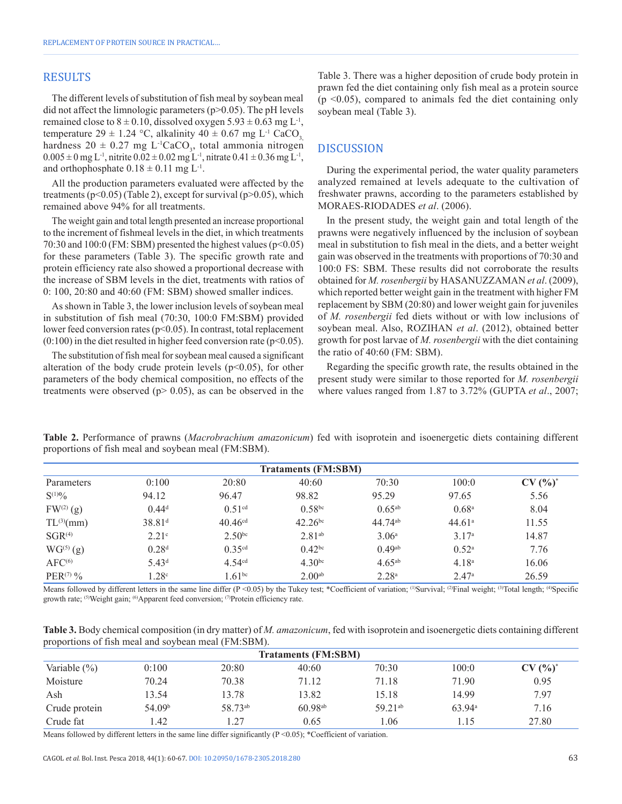#### RESULTS

The different levels of substitution of fish meal by soybean meal did not affect the limnologic parameters (p>0.05). The pH levels remained close to  $8 \pm 0.10$ , dissolved oxygen  $5.93 \pm 0.63$  mg L<sup>-1</sup>, temperature 29  $\pm$  1.24 °C, alkalinity 40  $\pm$  0.67 mg L<sup>-1</sup> CaCO<sub>3</sub> hardness  $20 \pm 0.27$  mg L<sup>-1</sup>CaCO<sub>3</sub>, total ammonia nitrogen  $0.005 \pm 0$  mg L<sup>-1</sup>, nitrite  $0.02 \pm 0.02$  mg L<sup>-1</sup>, nitrate  $0.41 \pm 0.36$  mg L<sup>-1</sup>, and orthophosphate  $0.18 \pm 0.11$  mg L<sup>-1</sup>.

All the production parameters evaluated were affected by the treatments ( $p<0.05$ ) (Table 2), except for survival ( $p>0.05$ ), which remained above 94% for all treatments.

The weight gain and total length presented an increase proportional to the increment of fishmeal levels in the diet, in which treatments 70:30 and 100:0 (FM: SBM) presented the highest values (p<0.05) for these parameters (Table 3). The specific growth rate and protein efficiency rate also showed a proportional decrease with the increase of SBM levels in the diet, treatments with ratios of 0: 100, 20:80 and 40:60 (FM: SBM) showed smaller indices.

As shown in Table 3, the lower inclusion levels of soybean meal in substitution of fish meal (70:30, 100:0 FM:SBM) provided lower feed conversion rates ( $p<0.05$ ). In contrast, total replacement  $(0:100)$  in the diet resulted in higher feed conversion rate ( $p<0.05$ ).

The substitution of fish meal for soybean meal caused a significant alteration of the body crude protein levels  $(p<0.05)$ , for other parameters of the body chemical composition, no effects of the treatments were observed ( $p$  > 0.05), as can be observed in the Table 3. There was a higher deposition of crude body protein in prawn fed the diet containing only fish meal as a protein source  $(p \le 0.05)$ , compared to animals fed the diet containing only soybean meal (Table 3).

### DISCUSSION

During the experimental period, the water quality parameters analyzed remained at levels adequate to the cultivation of freshwater prawns, according to the parameters established by MORAES-RIODADES *et al*. (2006).

In the present study, the weight gain and total length of the prawns were negatively influenced by the inclusion of soybean meal in substitution to fish meal in the diets, and a better weight gain was observed in the treatments with proportions of 70:30 and 100:0 FS: SBM. These results did not corroborate the results obtained for *M. rosenbergii* by HASANUZZAMAN *et al*. (2009), which reported better weight gain in the treatment with higher FM replacement by SBM (20:80) and lower weight gain for juveniles of *M. rosenbergii* fed diets without or with low inclusions of soybean meal. Also, ROZIHAN *et al*. (2012), obtained better growth for post larvae of *M. rosenbergii* with the diet containing the ratio of 40:60 (FM: SBM).

Regarding the specific growth rate, the results obtained in the present study were similar to those reported for *M. rosenbergii* where values ranged from 1.87 to 3.72% (GUPTA *et al*., 2007;

| <b>Trataments (FM:SBM)</b> |                    |                       |              |                     |                    |           |  |  |
|----------------------------|--------------------|-----------------------|--------------|---------------------|--------------------|-----------|--|--|
| Parameters                 | 0:100              | 20:80                 | 40:60        | 70:30               | 100:0              | $CV(%)^*$ |  |  |
| $S^{(1)0}\!/\!o$           | 94.12              | 96.47                 | 98.82        | 95.29               | 97.65              | 5.56      |  |  |
| $FW^{(2)}(g)$              | $0.44^d$           | 0.51 <sup>cd</sup>    | $0.58^{bc}$  | $0.65^{ab}$         | 0.68 <sup>a</sup>  | 8.04      |  |  |
| $TL^{(3)}(mm)$             | 38.81 <sup>d</sup> | $40.46$ <sup>cd</sup> | $42.26^{bc}$ | 44.74 <sup>ab</sup> | 44.61 <sup>a</sup> | 11.55     |  |  |
| $SGR^{(4)}$                | 2.21 <sup>c</sup>  | 2.50 <sup>bc</sup>    | $2.81^{ab}$  | 3.06 <sup>a</sup>   | 3.17 <sup>a</sup>  | 14.87     |  |  |
| $WG^{(5)}(g)$              | 0.28 <sup>d</sup>  | 0.35 <sup>cd</sup>    | $0.42^{bc}$  | $0.49^{ab}$         | 0.52 <sup>a</sup>  | 7.76      |  |  |
| AFC <sup>(6)</sup>         | 5.43 <sup>d</sup>  | 4.54 <sup>cd</sup>    | $4.30^{bc}$  | $4.65^{ab}$         | 4.18 <sup>a</sup>  | 16.06     |  |  |
| $PER^{(7)}%$               | 1.28c              | $1.61^{bc}$           | $2.00^{ab}$  | 2.28 <sup>a</sup>   | 2.47 <sup>a</sup>  | 26.59     |  |  |

**Table 2.** Performance of prawns (*Macrobrachium amazonicum*) fed with isoprotein and isoenergetic diets containing different proportions of fish meal and soybean meal (FM:SBM).

Means followed by different letters in the same line differ (P <0.05) by the Tukey test; \*Coefficient of variation;  $^{(1)}$ Survival;  $^{(2)}$ Final weight;  $^{(3)}$ Total length;  $^{(4)}$ Specific growth rate; <sup>(5)</sup>Weight gain; <sup>(6)</sup>Apparent feed conversion; <sup>(7)</sup>Protein efficiency rate.

**Table 3.** Body chemical composition (in dry matter) of *M. amazonicum*, fed with isoprotein and isoenergetic diets containing different proportions of fish meal and soybean meal (FM:SBM).

| <b>Trataments (FM:SBM)</b> |                    |         |              |                     |        |           |  |  |  |
|----------------------------|--------------------|---------|--------------|---------------------|--------|-----------|--|--|--|
| Variable $(\% )$           | 0:100              | 20:80   | 40:60        | 70:30               | 100:0  | $CV(%)^*$ |  |  |  |
| Moisture                   | 70.24              | 70.38   | 71.12        | 71.18               | 71.90  | 0.95      |  |  |  |
| Ash                        | 13.54              | 13.78   | 13.82        | 15.18               | 14.99  | 7.97      |  |  |  |
| Crude protein              | 54.09 <sup>b</sup> | 58.73ab | $60.98^{ab}$ | 59.21 <sup>ab</sup> | 63.94a | 7.16      |  |  |  |
| Crude fat                  | .42                | 1.27    | 0.65         | .06                 | .15    | 27.80     |  |  |  |

Means followed by different letters in the same line differ significantly ( $P \le 0.05$ ); \*Coefficient of variation.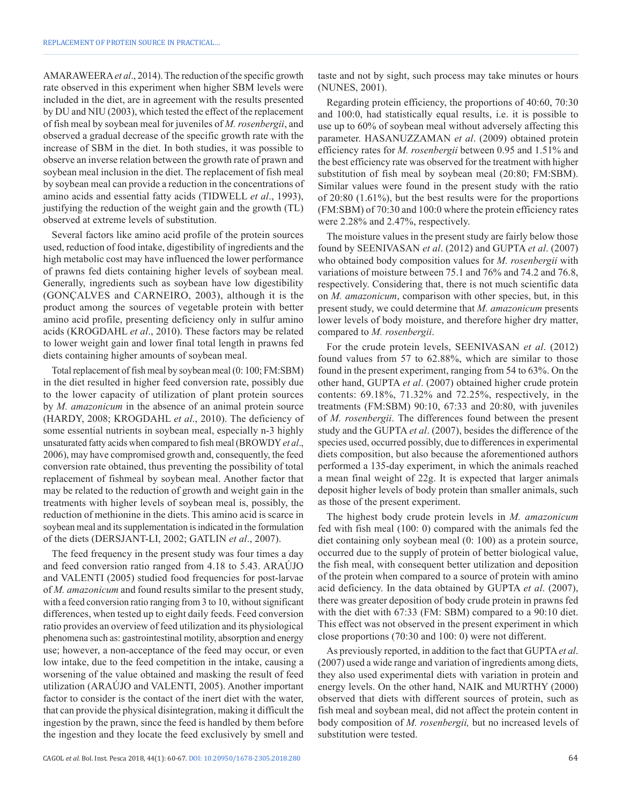AMARAWEERA*et al*., 2014). The reduction of the specific growth rate observed in this experiment when higher SBM levels were included in the diet, are in agreement with the results presented by DU and NIU (2003), which tested the effect of the replacement of fish meal by soybean meal for juveniles of *M. rosenbergii*, and observed a gradual decrease of the specific growth rate with the increase of SBM in the diet. In both studies, it was possible to observe an inverse relation between the growth rate of prawn and soybean meal inclusion in the diet. The replacement of fish meal by soybean meal can provide a reduction in the concentrations of amino acids and essential fatty acids (TIDWELL *et al*., 1993), justifying the reduction of the weight gain and the growth (TL) observed at extreme levels of substitution.

Several factors like amino acid profile of the protein sources used, reduction of food intake, digestibility of ingredients and the high metabolic cost may have influenced the lower performance of prawns fed diets containing higher levels of soybean meal. Generally, ingredients such as soybean have low digestibility (GONÇALVES and CARNEIRO, 2003), although it is the product among the sources of vegetable protein with better amino acid profile, presenting deficiency only in sulfur amino acids (KROGDAHL *et al*., 2010). These factors may be related to lower weight gain and lower final total length in prawns fed diets containing higher amounts of soybean meal.

Total replacement of fish meal by soybean meal (0: 100; FM:SBM) in the diet resulted in higher feed conversion rate, possibly due to the lower capacity of utilization of plant protein sources by *M. amazonicum* in the absence of an animal protein source (HARDY, 2008; KROGDAHL *et al*., 2010). The deficiency of some essential nutrients in soybean meal, especially n-3 highly unsaturated fatty acids when compared to fish meal (BROWDY *et al*., 2006), may have compromised growth and, consequently, the feed conversion rate obtained, thus preventing the possibility of total replacement of fishmeal by soybean meal. Another factor that may be related to the reduction of growth and weight gain in the treatments with higher levels of soybean meal is, possibly, the reduction of methionine in the diets. This amino acid is scarce in soybean meal and its supplementation is indicated in the formulation of the diets (DERSJANT-LI, 2002; GATLIN *et al*., 2007).

The feed frequency in the present study was four times a day and feed conversion ratio ranged from 4.18 to 5.43. ARAÚJO and VALENTI (2005) studied food frequencies for post-larvae of *M. amazonicum* and found results similar to the present study, with a feed conversion ratio ranging from 3 to 10, without significant differences, when tested up to eight daily feeds. Feed conversion ratio provides an overview of feed utilization and its physiological phenomena such as: gastrointestinal motility, absorption and energy use; however, a non-acceptance of the feed may occur, or even low intake, due to the feed competition in the intake, causing a worsening of the value obtained and masking the result of feed utilization (ARAÚJO and VALENTI, 2005). Another important factor to consider is the contact of the inert diet with the water, that can provide the physical disintegration, making it difficult the ingestion by the prawn, since the feed is handled by them before the ingestion and they locate the feed exclusively by smell and taste and not by sight, such process may take minutes or hours (NUNES, 2001).

Regarding protein efficiency, the proportions of 40:60, 70:30 and 100:0, had statistically equal results, i.e. it is possible to use up to 60% of soybean meal without adversely affecting this parameter. HASANUZZAMAN *et al*. (2009) obtained protein efficiency rates for *M. rosenbergii* between 0.95 and 1.51% and the best efficiency rate was observed for the treatment with higher substitution of fish meal by soybean meal (20:80; FM:SBM). Similar values were found in the present study with the ratio of 20:80 (1.61%), but the best results were for the proportions (FM:SBM) of 70:30 and 100:0 where the protein efficiency rates were 2.28% and 2.47%, respectively.

The moisture values in the present study are fairly below those found by SEENIVASAN *et al*. (2012) and GUPTA *et al*. (2007) who obtained body composition values for *M. rosenbergii* with variations of moisture between 75.1 and 76% and 74.2 and 76.8, respectively. Considering that, there is not much scientific data on *M. amazonicum*, comparison with other species, but, in this present study, we could determine that *M. amazonicum* presents lower levels of body moisture, and therefore higher dry matter, compared to *M. rosenbergii*.

For the crude protein levels, SEENIVASAN *et al*. (2012) found values from 57 to 62.88%, which are similar to those found in the present experiment, ranging from 54 to 63%. On the other hand, GUPTA *et al*. (2007) obtained higher crude protein contents: 69.18%, 71.32% and 72.25%, respectively, in the treatments (FM:SBM) 90:10, 67:33 and 20:80, with juveniles of *M. rosenbergii*. The differences found between the present study and the GUPTA *et al*. (2007), besides the difference of the species used, occurred possibly, due to differences in experimental diets composition, but also because the aforementioned authors performed a 135-day experiment, in which the animals reached a mean final weight of 22g. It is expected that larger animals deposit higher levels of body protein than smaller animals, such as those of the present experiment.

The highest body crude protein levels in *M. amazonicum* fed with fish meal (100: 0) compared with the animals fed the diet containing only soybean meal (0: 100) as a protein source, occurred due to the supply of protein of better biological value, the fish meal, with consequent better utilization and deposition of the protein when compared to a source of protein with amino acid deficiency. In the data obtained by GUPTA *et al*. (2007), there was greater deposition of body crude protein in prawns fed with the diet with 67:33 (FM: SBM) compared to a 90:10 diet. This effect was not observed in the present experiment in which close proportions (70:30 and 100: 0) were not different.

As previously reported, in addition to the fact that GUPTA*et al*. (2007) used a wide range and variation of ingredients among diets, they also used experimental diets with variation in protein and energy levels. On the other hand, NAIK and MURTHY (2000) observed that diets with different sources of protein, such as fish meal and soybean meal, did not affect the protein content in body composition of *M. rosenbergii,* but no increased levels of substitution were tested.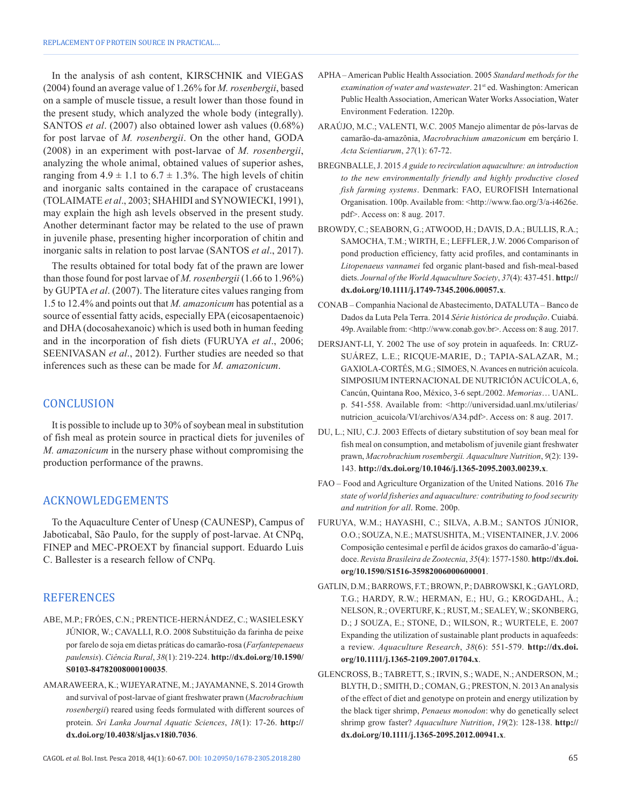In the analysis of ash content, KIRSCHNIK and VIEGAS (2004) found an average value of 1.26% for *M. rosenbergii*, based on a sample of muscle tissue, a result lower than those found in the present study, which analyzed the whole body (integrally). SANTOS *et al*. (2007) also obtained lower ash values (0.68%) for post larvae of *M. rosenbergii*. On the other hand, GODA (2008) in an experiment with post-larvae of *M. rosenbergii*, analyzing the whole animal, obtained values of superior ashes, ranging from  $4.9 \pm 1.1$  to  $6.7 \pm 1.3$ %. The high levels of chitin and inorganic salts contained in the carapace of crustaceans (TOLAIMATE *et al*., 2003; SHAHIDI and SYNOWIECKI, 1991), may explain the high ash levels observed in the present study. Another determinant factor may be related to the use of prawn in juvenile phase, presenting higher incorporation of chitin and inorganic salts in relation to post larvae (SANTOS *et al*., 2017).

The results obtained for total body fat of the prawn are lower than those found for post larvae of *M. rosenbergii* (1.66 to 1.96%) by GUPTA *et al*. (2007). The literature cites values ranging from 1.5 to 12.4% and points out that *M. amazonicum* has potential as a source of essential fatty acids, especially EPA (eicosapentaenoic) and DHA (docosahexanoic) which is used both in human feeding and in the incorporation of fish diets (FURUYA *et al*., 2006; SEENIVASAN *et al*., 2012). Further studies are needed so that inferences such as these can be made for *M. amazonicum*.

#### **CONCLUSION**

It is possible to include up to 30% of soybean meal in substitution of fish meal as protein source in practical diets for juveniles of *M. amazonicum* in the nursery phase without compromising the production performance of the prawns.

#### ACKNOWLEDGEMENTS

To the Aquaculture Center of Unesp (CAUNESP), Campus of Jaboticabal, São Paulo, for the supply of post-larvae. At CNPq, FINEP and MEC-PROEXT by financial support. Eduardo Luis C. Ballester is a research fellow of CNPq.

#### **REFERENCES**

- ABE, M.P.; FRÓES, C.N.; PRENTICE-HERNÁNDEZ, C.; WASIELESKY JÚNIOR, W.; CAVALLI, R.O. 2008 Substituição da farinha de peixe por farelo de soja em dietas práticas do camarão-rosa (*Farfantepenaeus paulensis*). *Ciência Rural*, *38*(1): 219-224. **[http://dx.doi.org/10.1590/](http://dx.doi.org/10.1590/S0103-84782008000100035) [S0103-84782008000100035](http://dx.doi.org/10.1590/S0103-84782008000100035)**.
- AMARAWEERA, K.; WIJEYARATNE, M.; JAYAMANNE, S. 2014 Growth and survival of post-larvae of giant freshwater prawn (*Macrobrachium rosenbergii*) reared using feeds formulated with different sources of protein. *Sri Lanka Journal Aquatic Sciences*, *18*(1): 17-26. **[http://](http://dx.doi.org/10.4038/sljas.v18i0.7036) [dx.doi.org/10.4038/sljas.v18i0.7036](http://dx.doi.org/10.4038/sljas.v18i0.7036)**.
- APHA American Public Health Association. 2005 *Standard methods for the examination of water and wastewater*. 21<sup>st</sup> ed. Washington: American Public Health Association, American Water Works Association, Water Environment Federation. 1220p.
- ARAÚJO, M.C.; VALENTI, W.C. 2005 Manejo alimentar de pós-larvas de camarão-da-amazônia, *Macrobrachium amazonicum* em berçário I. *Acta Scientiarum*, *27*(1): 67-72.
- BREGNBALLE, J. 2015 *A guide to recirculation aquaculture: an introduction to the new environmentally friendly and highly productive closed fish farming systems*. Denmark: FAO, EUROFISH International Organisation. 100p. Available from: <http://www.fao.org/3/a-i4626e. pdf>. Access on: 8 aug. 2017.
- BROWDY, C.; SEABORN, G.; ATWOOD, H.; DAVIS, D.A.; BULLIS, R.A.; SAMOCHA, T.M.; WIRTH, E.; LEFFLER, J.W. 2006 Comparison of pond production efficiency, fatty acid profiles, and contaminants in *Litopenaeus vannamei* fed organic plant-based and fish-meal-based diets. *Journal of the World Aquaculture Society*, *37*(4): 437-451. **[http://](http://dx.doi.org/10.1111/j.1749-7345.2006.00057.x) [dx.doi.org/10.1111/j.1749-7345.2006.00057.x](http://dx.doi.org/10.1111/j.1749-7345.2006.00057.x)**.
- CONAB Companhia Nacional de Abastecimento, DATALUTA Banco de Dados da Luta Pela Terra. 2014 *Série histórica de produção*. Cuiabá. 49p. Available from: <http://www.conab.gov.br>. Access on: 8 aug. 2017.
- DERSJANT-LI, Y. 2002 The use of soy protein in aquafeeds. In: CRUZ-SUÁREZ, L.E.; RICQUE-MARIE, D.; TAPIA-SALAZAR, M.; GAXIOLA-CORTÉS, M.G.; SIMOES, N. Avances en nutrición acuícola. SIMPOSIUM INTERNACIONAL DE NUTRICIÓN ACUÍCOLA, 6, Cancún, Quintana Roo, México, 3-6 sept./2002. *Memorias*… UANL. p. 541-558. Available from: <[http://universidad.uanl.mx/utilerias/](http://universidad.uanl.mx/utilerias/nutricion_acuicola/VI/archivos/A34.pdf) [nutricion\\_acuicola/VI/archivos/A34.pdf>](http://universidad.uanl.mx/utilerias/nutricion_acuicola/VI/archivos/A34.pdf). Access on: 8 aug. 2017.
- DU, L.; NIU, C.J. 2003 Effects of dietary substitution of soy bean meal for fish meal on consumption, and metabolism of juvenile giant freshwater prawn, *Macrobrachium rosembergii. Aquaculture Nutrition*, *9*(2): 139- 143. **<http://dx.doi.org/10.1046/j.1365-2095.2003.00239.x>**.
- FAO Food and Agriculture Organization of the United Nations. 2016 *The state of world fisheries and aquaculture: contributing to food security and nutrition for all*. Rome. 200p.
- FURUYA, W.M.; HAYASHI, C.; SILVA, A.B.M.; SANTOS JÚNIOR, O.O.; SOUZA, N.E.; MATSUSHITA, M.; VISENTAINER, J.V. 2006 Composição centesimal e perfil de ácidos graxos do camarão-d'águadoce. *Revista Brasileira de Zootecnia*, *35*(4): 1577-1580. **[http://dx.doi.](http://dx.doi.org/10.1590/S1516-35982006000600001) [org/10.1590/S1516-35982006000600001](http://dx.doi.org/10.1590/S1516-35982006000600001)**.
- GATLIN, D.M.; BARROWS, F.T.; BROWN, P.; DABROWSKI, K.; GAYLORD, T.G.; HARDY, R.W.; HERMAN, E.; HU, G.; KROGDAHL, Å.; NELSON, R.; OVERTURF, K.; RUST, M.; SEALEY, W.; SKONBERG, D.; J SOUZA, E.; STONE, D.; WILSON, R.; WURTELE, E. 2007 Expanding the utilization of sustainable plant products in aquafeeds: a review. *Aquaculture Research*, *38*(6): 551-579. **[http://dx.doi.](http://dx.doi.org/10.1111/j.1365-2109.2007.01704.x) [org/10.1111/j.1365-2109.2007.01704.x](http://dx.doi.org/10.1111/j.1365-2109.2007.01704.x)**.
- GLENCROSS, B.; TABRETT, S.; IRVIN, S.; WADE, N.; ANDERSON, M.; BLYTH, D.; SMITH, D.; COMAN, G.; PRESTON, N. 2013 An analysis of the effect of diet and genotype on protein and energy utilization by the black tiger shrimp, *Penaeus monodon*: why do genetically select shrimp grow faster? *Aquaculture Nutrition*, *19*(2): 128-138. **[http://](http://dx.doi.org/10.1111/j.1365-2095.2012.00941.x) [dx.doi.org/10.1111/j.1365-2095.2012.00941.x](http://dx.doi.org/10.1111/j.1365-2095.2012.00941.x)**.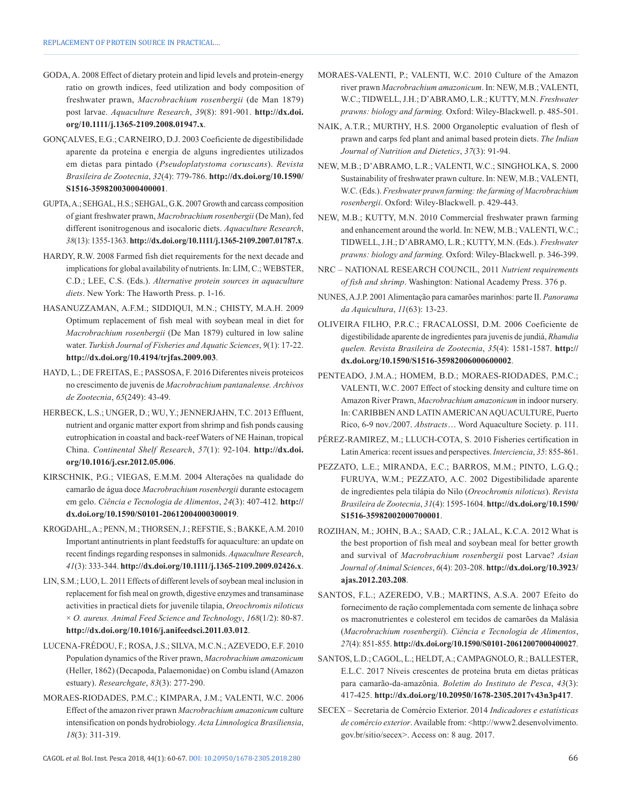- GODA, A. 2008 Effect of dietary protein and lipid levels and protein-energy ratio on growth indices, feed utilization and body composition of freshwater prawn, *Macrobrachium rosenbergii* (de Man 1879) post larvae. *Aquaculture Research*, *39*(8): 891-901. **[http://dx.doi.](http://dx.doi.org/10.1111/j.1365-2109.2008.01947.x) [org/10.1111/j.1365-2109.2008.01947.x](http://dx.doi.org/10.1111/j.1365-2109.2008.01947.x)**.
- GONÇALVES, E.G.; CARNEIRO, D.J. 2003 Coeficiente de digestibilidade aparente da proteína e energia de alguns ingredientes utilizados em dietas para pintado (*Pseudoplatystoma coruscans*). *Revista Brasileira de Zootecnia*, *32*(4): 779-786. **[http://dx.doi.org/10.1590/](http://dx.doi.org/10.1590/S1516-35982003000400001) [S1516-35982003000400001](http://dx.doi.org/10.1590/S1516-35982003000400001)**.
- GUPTA, A.; SEHGAL, H.S.; SEHGAL, G.K. 2007 Growth and carcass composition of giant freshwater prawn, *Macrobrachium rosenbergii* (De Man), fed different isonitrogenous and isocaloric diets. *Aquaculture Research*, *38*(13): 1355-1363. **<http://dx.doi.org/10.1111/j.1365-2109.2007.01787.x>**.
- HARDY, R.W. 2008 Farmed fish diet requirements for the next decade and implications for global availability of nutrients. In: LIM, C.; WEBSTER, C.D.; LEE, C.S. (Eds.). *Alternative protein sources in aquaculture diets*. New York: The Haworth Press. p. 1-16.
- HASANUZZAMAN, A.F.M.; SIDDIQUI, M.N.; CHISTY, M.A.H. 2009 Optimum replacement of fish meal with soybean meal in diet for *Macrobrachium rosenbergii* (De Man 1879) cultured in low saline water. *Turkish Journal of Fisheries and Aquatic Sciences*, *9*(1): 17-22. **<http://dx.doi.org/10.4194/trjfas.2009.003>**.
- HAYD, L.; DE FREITAS, E.; PASSOSA, F. 2016 Diferentes níveis proteicos no crescimento de juvenis de *Macrobrachium pantanalense. Archivos de Zootecnia*, *65*(249): 43-49.
- HERBECK, L.S.; UNGER, D.; WU, Y.; JENNERJAHN, T.C. 2013 Effluent, nutrient and organic matter export from shrimp and fish ponds causing eutrophication in coastal and back-reef Waters of NE Hainan, tropical China. *Continental Shelf Research*, *57*(1): 92-104. **[http://dx.doi.](http://dx.doi.org/10.1016/j.csr.2012.05.006) [org/10.1016/j.csr.2012.05.006](http://dx.doi.org/10.1016/j.csr.2012.05.006)**.
- KIRSCHNIK, P.G.; VIEGAS, E.M.M. 2004 Alterações na qualidade do camarão de água doce *Macrobrachium rosenbergii* durante estocagem em gelo. *Ciência e Tecnologia de Alimentos*, *24*(3): 407-412. **[http://](http://dx.doi.org/10.1590/S0101-20612004000300019) [dx.doi.org/10.1590/S0101-20612004000300019](http://dx.doi.org/10.1590/S0101-20612004000300019)**.
- KROGDAHL, A.; PENN, M.; THORSEN, J.; REFSTIE, S.; BAKKE, A.M. 2010 Important antinutrients in plant feedstuffs for aquaculture: an update on recent findings regarding responses in salmonids. *Aquaculture Research*, *41*(3): 333-344. **<http://dx.doi.org/10.1111/j.1365-2109.2009.02426.x>**.
- LIN, S.M.; LUO, L. 2011 Effects of different levels of soybean meal inclusion in replacement for fish meal on growth, digestive enzymes and transaminase activities in practical diets for juvenile tilapia, *Oreochromis niloticus* × *O. aureus. Animal Feed Science and Technology*, *168*(1/2): 80-87. **<http://dx.doi.org/10.1016/j.anifeedsci.2011.03.012>**.
- LUCENA-FRÉDOU, F.; ROSA, J.S.; SILVA, M.C.N.; AZEVEDO, E.F. 2010 Population dynamics of the River prawn, *Macrobrachium amazonicum* (Heller, 1862) (Decapoda, Palaemonidae) on Combu island (Amazon estuary). *Researchgate*, *83*(3): 277-290.
- MORAES-RIODADES, P.M.C.; KIMPARA, J.M.; VALENTI, W.C. 2006 Effect of the amazon river prawn *Macrobrachium amazonicum* culture intensification on ponds hydrobiology. *Acta Limnologica Brasiliensia*, *18*(3): 311-319.
- MORAES-VALENTI, P.; VALENTI, W.C. 2010 Culture of the Amazon river prawn *Macrobrachium amazonicum*. In: NEW, M.B.; VALENTI, W.C.; TIDWELL, J.H.; D'ABRAMO, L.R.; KUTTY, M.N. *Freshwater prawns: biology and farming.* Oxford: Wiley-Blackwell. p. 485-501.
- NAIK, A.T.R.; MURTHY, H.S. 2000 Organoleptic evaluation of flesh of prawn and carps fed plant and animal based protein diets. *The Indian Journal of Nutrition and Dietetics*, *37*(3): 91-94.
- NEW, M.B.; D'ABRAMO, L.R.; VALENTI, W.C.; SINGHOLKA, S. 2000 Sustainability of freshwater prawn culture. In: NEW, M.B.; VALENTI, W.C. (Eds.). *Freshwater prawn farming: the farming of Macrobrachium rosenbergii*. Oxford: Wiley-Blackwell. p. 429-443.
- NEW, M.B.; KUTTY, M.N. 2010 Commercial freshwater prawn farming and enhancement around the world. In: NEW, M.B.; VALENTI, W.C.; TIDWELL, J.H.; D'ABRAMO, L.R.; KUTTY, M.N. (Eds.). *Freshwater prawns: biology and farming.* Oxford: Wiley-Blackwell. p. 346-399.
- NRC NATIONAL RESEARCH COUNCIL, 2011 *Nutrient requirements of fish and shrimp*. Washington: National Academy Press. 376 p.
- NUNES, A.J.P. 2001 Alimentação para camarões marinhos: parte II. *Panorama da Aquicultura*, *11*(63): 13-23.
- OLIVEIRA FILHO, P.R.C.; FRACALOSSI, D.M. 2006 Coeficiente de digestibilidade aparente de ingredientes para juvenis de jundiá, *Rhamdia quelen. Revista Brasileira de Zootecnia*, *35*(4): 1581-1587. **[http://](http://dx.doi.org/10.1590/S1516-35982006000600002) [dx.doi.org/10.1590/S1516-35982006000600002](http://dx.doi.org/10.1590/S1516-35982006000600002)**.
- PENTEADO, J.M.A.; HOMEM, B.D.; MORAES-RIODADES, P.M.C.; VALENTI, W.C. 2007 Effect of stocking density and culture time on Amazon River Prawn, *Macrobrachium amazonicum* in indoor nursery. In: CARIBBEN AND LATIN AMERICAN AQUACULTURE, Puerto Rico, 6-9 nov./2007. *Abstracts*… Word Aquaculture Society*.* p. 111.
- PÉREZ-RAMIREZ, M.; LLUCH-COTA, S. 2010 Fisheries certification in Latin America: recent issues and perspectives. *Interciencia*, *35*: 855-861.
- PEZZATO, L.E.; MIRANDA, E.C.; BARROS, M.M.; PINTO, L.G.Q.; FURUYA, W.M.; PEZZATO, A.C. 2002 Digestibilidade aparente de ingredientes pela tilápia do Nilo (*Oreochromis niloticus*). *Revista Brasileira de Zootecnia*, *31*(4): 1595-1604. **[http://dx.doi.org/10.1590/](http://dx.doi.org/10.1590/S1516-35982002000700001) [S1516-35982002000700001](http://dx.doi.org/10.1590/S1516-35982002000700001)**.
- ROZIHAN, M.; JOHN, B.A.; SAAD, C.R.; JALAL, K.C.A. 2012 What is the best proportion of fish meal and soybean meal for better growth and survival of *Macrobrachium rosenbergii* post Larvae? *Asian Journal of Animal Sciences*, *6*(4): 203-208. **[http://dx.doi.org/10.3923/](http://dx.doi.org/10.3923/ajas.2012.203.208) [ajas.2012.203.208](http://dx.doi.org/10.3923/ajas.2012.203.208)**.
- SANTOS, F.L.; AZEREDO, V.B.; MARTINS, A.S.A. 2007 Efeito do fornecimento de ração complementada com semente de linhaça sobre os macronutrientes e colesterol em tecidos de camarões da Malásia (*Macrobrachium rosenbergii*). *Ciência e Tecnologia de Alimentos*, *27*(4): 851-855. **<http://dx.doi.org/10.1590/S0101-20612007000400027>**.
- SANTOS, L.D.; CAGOL, L.; HELDT, A.; CAMPAGNOLO, R.; BALLESTER, E.L.C. 2017 Níveis crescentes de proteína bruta em dietas práticas para camarão-da-amazônia. *Boletim do Instituto de Pesca*, *43*(3): 417-425. **<http://dx.doi.org/10.20950/1678-2305.2017v43n3p417>**.
- SECEX Secretaria de Comércio Exterior. 2014 *Indicadores e estatísticas de comércio exterior*. Available from: <http://www2.desenvolvimento. gov.br/sitio/secex>. Access on: 8 aug. 2017.